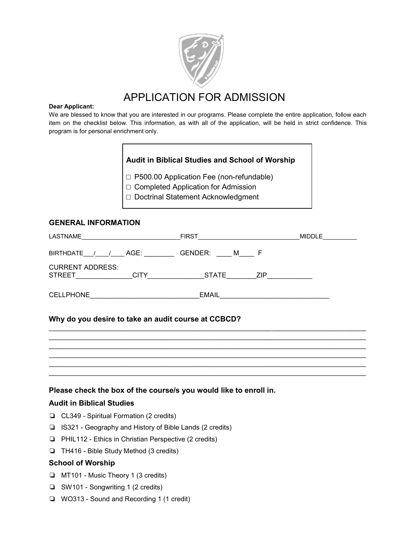

## APPLICATION FOR ADMISSION

#### **Dear Applicant:**

We are blessed to know that you are interested in our programs. Please complete the entire application, follow each item on the checklist below. This information, as with all of the application, will be held in strict confidence. This program is for personal enrichment only.

## **Audit in Biblical Studies and School of Worship**

**□** P500.00 Application Fee (non-refundable)

□ Completed Application for Admission

□ Doctrinal Statement Acknowledgment

## **GENERAL INFORMATION**

| LASTNAME                                                | <b>FIRST</b>               | <b>MIDDLE</b> |
|---------------------------------------------------------|----------------------------|---------------|
| <b>BIRTHDATE</b><br>AGE:                                | GENDER:<br>M               |               |
| <b>CURRENT ADDRESS:</b><br><b>STREET</b><br><b>CITY</b> | <b>STATE</b><br><b>ZIP</b> |               |
| <b>CELLPHONE</b>                                        | <b>EMAIL</b>               |               |

 $\mathcal{L}_\text{max}$  , and the contribution of the contribution of the contribution of the contribution of the contribution of the contribution of the contribution of the contribution of the contribution of the contribution of t  $\mathcal{L}_\text{max}$  , and the contribution of the contribution of the contribution of the contribution of the contribution of the contribution of the contribution of the contribution of the contribution of the contribution of t  $\mathcal{L}_\text{max}$  , and the contribution of the contribution of the contribution of the contribution of the contribution of the contribution of the contribution of the contribution of the contribution of the contribution of t  $\mathcal{L}_\text{max}$  , and the contribution of the contribution of the contribution of the contribution of the contribution of the contribution of the contribution of the contribution of the contribution of the contribution of t  $\mathcal{L}_\text{max}$  , and the contribution of the contribution of the contribution of the contribution of the contribution of the contribution of the contribution of the contribution of the contribution of the contribution of t  $\mathcal{L}_\text{max}$  , and the contribution of the contribution of the contribution of the contribution of the contribution of the contribution of the contribution of the contribution of the contribution of the contribution of t

## **Why do you desire to take an audit course at CCBCD?**

## **Please check the box of the course/s you would like to enroll in.**

## **Audit in Biblical Studies**

- ❏ CL349 Spiritual Formation (2 credits)
- ❏ IS321 Geography and History of Bible Lands (2 credits)
- ❏ PHIL112 Ethics in Christian Perspective (2 credits)
- ❏ TH416 Bible Study Method (3 credits)

## **School of Worship**

- ❏ MT101 Music Theory 1 (3 credits)
- ❏ SW101 Songwriting 1 (2 credits)
- ❏ WO313 Sound and Recording 1 (1 credit)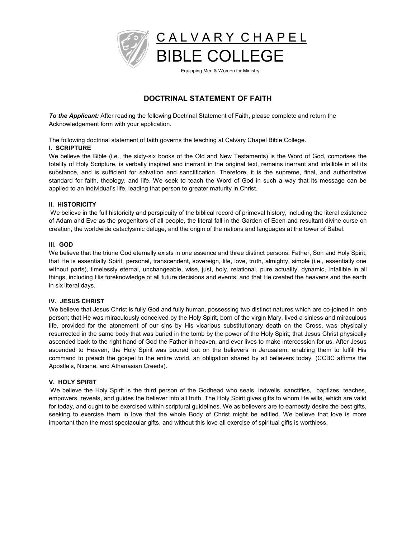

# **DOCTRINAL STATEMENT OF FAITH**

*To the Applicant:* After reading the following Doctrinal Statement of Faith, please complete and return the Acknowledgement form with your application.

The following doctrinal statement of faith governs the teaching at Calvary Chapel Bible College.

#### **I. SCRIPTURE**

We believe the Bible (i.e., the sixty-six books of the Old and New Testaments) is the Word of God, comprises the totality of Holy Scripture, is verbally inspired and inerrant in the original text, remains inerrant and infallible in all its substance, and is sufficient for salvation and sanctification. Therefore, it is the supreme, final, and authoritative standard for faith, theology, and life. We seek to teach the Word of God in such a way that its message can be applied to an individual's life, leading that person to greater maturity in Christ.

#### **II. HISTORICITY**

We believe in the full historicity and perspicuity of the biblical record of primeval history, including the literal existence of Adam and Eve as the progenitors of all people, the literal fall in the Garden of Eden and resultant divine curse on creation, the worldwide cataclysmic deluge, and the origin of the nations and languages at the tower of Babel.

#### **III. GOD**

We believe that the triune God eternally exists in one essence and three distinct persons: Father, Son and Holy Spirit; that He is essentially Spirit, personal, transcendent, sovereign, life, love, truth, almighty, simple (i.e., essentially one without parts), timelessly eternal, unchangeable, wise, just, holy, relational, pure actuality, dynamic, infallible in all things, including His foreknowledge of all future decisions and events, and that He created the heavens and the earth in six literal days.

#### **IV. JESUS CHRIST**

We believe that Jesus Christ is fully God and fully human, possessing two distinct natures which are co-joined in one person; that He was miraculously conceived by the Holy Spirit, born of the virgin Mary, lived a sinless and miraculous life, provided for the atonement of our sins by His vicarious substitutionary death on the Cross, was physically resurrected in the same body that was buried in the tomb by the power of the Holy Spirit; that Jesus Christ physically ascended back to the right hand of God the Father in heaven, and ever lives to make intercession for us. After Jesus ascended to Heaven, the Holy Spirit was poured out on the believers in Jerusalem, enabling them to fulfill His command to preach the gospel to the entire world, an obligation shared by all believers today. (CCBC affirms the Apostle's, Nicene, and Athanasian Creeds).

#### **V. HOLY SPIRIT**

We believe the Holy Spirit is the third person of the Godhead who seals, indwells, sanctifies, baptizes, teaches, empowers, reveals, and guides the believer into all truth. The Holy Spirit gives gifts to whom He wills, which are valid for today, and ought to be exercised within scriptural guidelines. We as believers are to earnestly desire the best gifts, seeking to exercise them in love that the whole Body of Christ might be edified. We believe that love is more important than the most spectacular gifts, and without this love all exercise of spiritual gifts is worthless.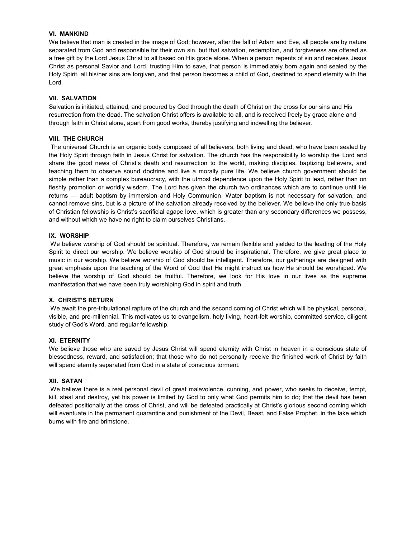#### **VI. MANKIND**

We believe that man is created in the image of God; however, after the fall of Adam and Eve, all people are by nature separated from God and responsible for their own sin, but that salvation, redemption, and forgiveness are offered as a free gift by the Lord Jesus Christ to all based on His grace alone. When a person repents of sin and receives Jesus Christ as personal Savior and Lord, trusting Him to save, that person is immediately born again and sealed by the Holy Spirit, all his/her sins are forgiven, and that person becomes a child of God, destined to spend eternity with the Lord.

#### **VII. SALVATION**

Salvation is initiated, attained, and procured by God through the death of Christ on the cross for our sins and His resurrection from the dead. The salvation Christ offers is available to all, and is received freely by grace alone and through faith in Christ alone, apart from good works, thereby justifying and indwelling the believer.

#### **VIII. THE CHURCH**

The universal Church is an organic body composed of all believers, both living and dead, who have been sealed by the Holy Spirit through faith in Jesus Christ for salvation. The church has the responsibility to worship the Lord and share the good news of Christ's death and resurrection to the world, making disciples, baptizing believers, and teaching them to observe sound doctrine and live a morally pure life. We believe church government should be simple rather than a complex bureaucracy, with the utmost dependence upon the Holy Spirit to lead, rather than on fleshly promotion or worldly wisdom. The Lord has given the church two ordinances which are to continue until He returns — adult baptism by immersion and Holy Communion. Water baptism is not necessary for salvation, and cannot remove sins, but is a picture of the salvation already received by the believer. We believe the only true basis of Christian fellowship is Christ's sacrificial agape love, which is greater than any secondary differences we possess, and without which we have no right to claim ourselves Christians.

#### **IX. WORSHIP**

We believe worship of God should be spiritual. Therefore, we remain flexible and yielded to the leading of the Holy Spirit to direct our worship. We believe worship of God should be inspirational. Therefore, we give great place to music in our worship. We believe worship of God should be intelligent. Therefore, our gatherings are designed with great emphasis upon the teaching of the Word of God that He might instruct us how He should be worshiped. We believe the worship of God should be fruitful. Therefore, we look for His love in our lives as the supreme manifestation that we have been truly worshiping God in spirit and truth.

#### **;. CHRIST¶S RETURN**

We await the pre-tribulational rapture of the church and the second coming of Christ which will be physical, personal, visible, and pre-millennial. This motivates us to evangelism, holy living, heart-felt worship, committed service, diligent study of God's Word, and regular fellowship.

#### **XI. ETERNITY**

We believe those who are saved by Jesus Christ will spend eternity with Christ in heaven in a conscious state of blessedness, reward, and satisfaction; that those who do not personally receive the finished work of Christ by faith will spend eternity separated from God in a state of conscious torment.

#### **XII. SATAN**

We believe there is a real personal devil of great malevolence, cunning, and power, who seeks to deceive, tempt, kill, steal and destroy, yet his power is limited by God to only what God permits him to do; that the devil has been defeated positionally at the cross of Christ, and will be defeated practically at Christ's glorious second coming which will eventuate in the permanent quarantine and punishment of the Devil, Beast, and False Prophet, in the lake which burns with fire and brimstone.